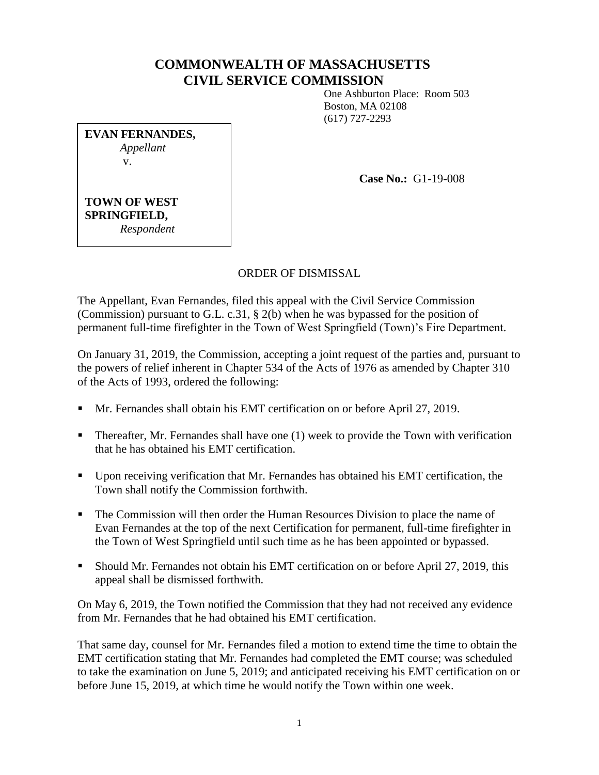## **COMMONWEALTH OF MASSACHUSETTS CIVIL SERVICE COMMISSION**

One Ashburton Place: Room 503 Boston, MA 02108 (617) 727-2293

**EVAN FERNANDES,** *Appellant* v.

**Case No.:** G1-19-008

## **TOWN OF WEST SPRINGFIELD,** *Respondent*

## ORDER OF DISMISSAL

The Appellant, Evan Fernandes, filed this appeal with the Civil Service Commission (Commission) pursuant to G.L. c.31, § 2(b) when he was bypassed for the position of permanent full-time firefighter in the Town of West Springfield (Town)'s Fire Department.

On January 31, 2019, the Commission, accepting a joint request of the parties and, pursuant to the powers of relief inherent in Chapter 534 of the Acts of 1976 as amended by Chapter 310 of the Acts of 1993, ordered the following:

- Mr. Fernandes shall obtain his EMT certification on or before April 27, 2019.
- Thereafter, Mr. Fernandes shall have one  $(1)$  week to provide the Town with verification that he has obtained his EMT certification.
- Upon receiving verification that Mr. Fernandes has obtained his EMT certification, the Town shall notify the Commission forthwith.
- The Commission will then order the Human Resources Division to place the name of Evan Fernandes at the top of the next Certification for permanent, full-time firefighter in the Town of West Springfield until such time as he has been appointed or bypassed.
- Should Mr. Fernandes not obtain his EMT certification on or before April 27, 2019, this appeal shall be dismissed forthwith.

On May 6, 2019, the Town notified the Commission that they had not received any evidence from Mr. Fernandes that he had obtained his EMT certification.

That same day, counsel for Mr. Fernandes filed a motion to extend time the time to obtain the EMT certification stating that Mr. Fernandes had completed the EMT course; was scheduled to take the examination on June 5, 2019; and anticipated receiving his EMT certification on or before June 15, 2019, at which time he would notify the Town within one week.